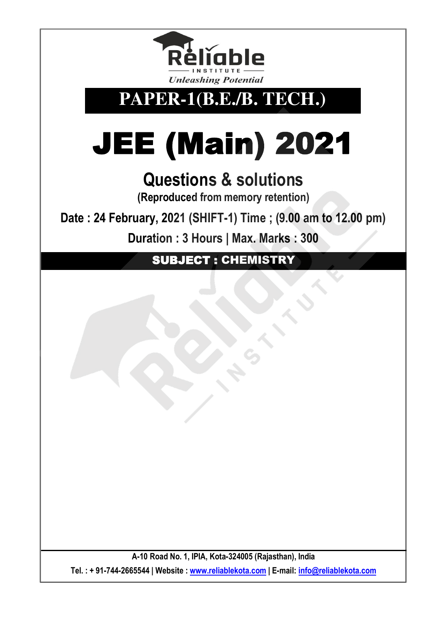

**PAPER-1(B.E./B. TECH.)** 

# JEE (Main) 2021

## **Questions & solutions**

**(Reproduced from memory retention)** 

**Date : 24 February, 2021 (SHIFT-1) Time ; (9.00 am to 12.00 pm)**

**Duration : 3 Hours | Max. Marks : 300** 

SUBJECT : CHEMISTRY

**A-10 Road No. 1, IPIA, Kota-324005 (Rajasthan), India Tel. : + 91-744-2665544 | Website : www.reliablekota.com | E-mail: info@reliablekota.com**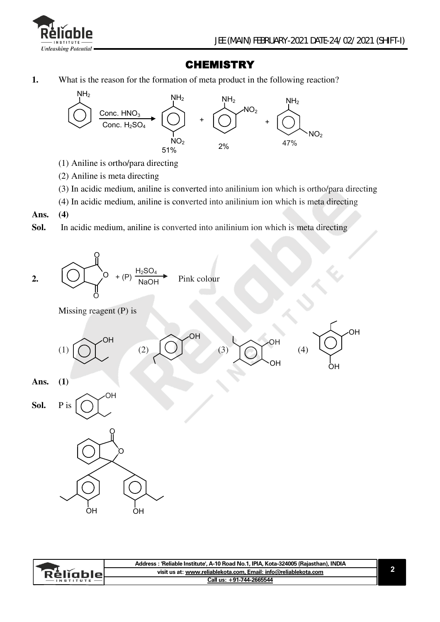

### **CHEMISTRY**

**1.** What is the reason for the formation of meta product in the following reaction?



- (1) Aniline is ortho/para directing
- (2) Aniline is meta directing
- (3) In acidic medium, aniline is converted into anilinium ion which is ortho/para directing
- (4) In acidic medium, aniline is converted into anilinium ion which is meta directing
- **Ans. (4)**
- **Sol.** In acidic medium, aniline is converted into anilinium ion which is meta directing

2. 
$$
\underbrace{O}_{O} + (P) \xrightarrow{H_2SO_4} \text{Pink colour}
$$

Missing reagent (P) is



|            | Address : 'Reliable Institute', A-10 Road No.1, IPIA, Kota-324005 (Raiasthan), INDIA |  |
|------------|--------------------------------------------------------------------------------------|--|
| ∵kellable∟ | visit us at: www.reliablekota.com. Email: info@reliablekota.com                      |  |
|            | Call us: +91-744-2665544                                                             |  |
|            |                                                                                      |  |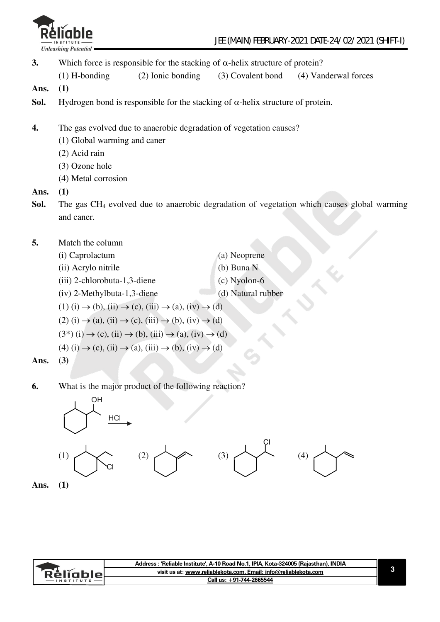

- **3.** Which force is responsible for the stacking of  $\alpha$ -helix structure of protein?
- (1) H-bonding (2) Ionic bonding (3) Covalent bond (4) Vanderwal forces
- **Ans. (1)**
- **Sol.** Hydrogen bond is responsible for the stacking of  $\alpha$ -helix structure of protein.
- **4.** The gas evolved due to anaerobic degradation of vegetation causes?
	- (1) Global warming and caner
	- (2) Acid rain
	- (3) Ozone hole
	- (4) Metal corrosion

#### **Ans. (1)**

- **Sol.** The gas CH<sub>4</sub> evolved due to anaerobic degradation of vegetation which causes global warming and caner.
- **5.** Match the column
	- (i) Caprolactum (a) Neoprene (ii) Acrylo nitrile (b) Buna N (iii) 2-chlorobuta-1,3-diene (c) Nyolon-6 (iv) 2-Methylbuta-1,3-diene (d) Natural rubber
	- $(1)$   $(i) \rightarrow (b)$ ,  $(ii) \rightarrow (c)$ ,  $(iii) \rightarrow (a)$ ,  $(iv) \rightarrow (d)$
	- $(2)$  (i)  $\rightarrow$  (a), (ii)  $\rightarrow$  (c), (iii)  $\rightarrow$  (b), (iv)  $\rightarrow$  (d)
	- $(3^*)$  (i)  $\rightarrow$  (c), (ii)  $\rightarrow$  (b), (iii)  $\rightarrow$  (a), (iv)  $\rightarrow$  (d)
	- $(4)$  (i)  $\rightarrow$  (c), (ii)  $\rightarrow$  (a), (iii)  $\rightarrow$  (b), (iv)  $\rightarrow$  (d)
- **Ans. (3)**
- **6.** What is the major product of the following reaction?





|           | Address : 'Reliable Institute', A-10 Road No.1, IPIA, Kota-324005 (Rajasthan), INDIA |  |
|-----------|--------------------------------------------------------------------------------------|--|
| Relighier | visit us at: www.reliablekota.com, Email: info@reliablekota.com                      |  |
|           | Call us: +91-744-2665544                                                             |  |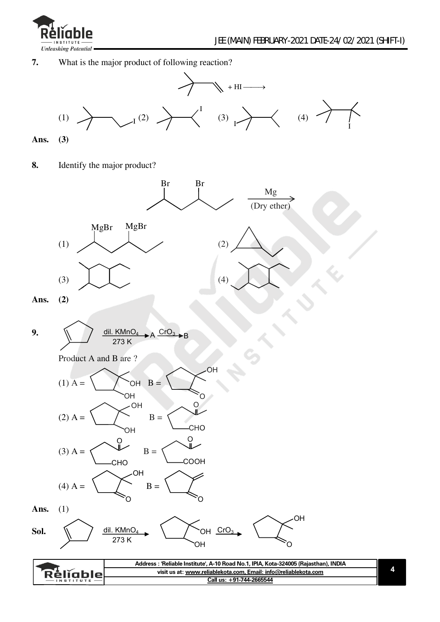

**7.** What is the major product of following reaction?



**Ans. (3)** 

**8.** Identify the major product?



| visit us at: www.reliablekota.com. Email: info@reliablekota.com<br>RéliableL |  |
|------------------------------------------------------------------------------|--|
| Call us: +91-744-2665544<br>INSTITUTE                                        |  |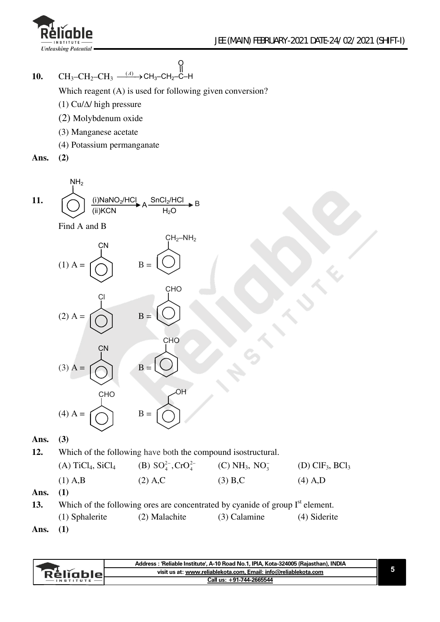

**10.**  $CH_3$ - $CH_2$ - $CH_3$   $\xrightarrow{(A)}$   $CH_3$ - $CH_2$ - $C$ -H

Which reagent (A) is used for following given conversion?

O

B

- (1) Cu/ $\Delta$ / high pressure
- (2) Molybdenum oxide
- (3) Manganese acetate
- (4) Potassium permanganate
- **Ans. (2)**

11. 
$$
\overline{MH_2}
$$
 (i)NaNO<sub>2</sub>/HCL  $\rightarrow$  A  $\frac{SnCl_2/HC}{H_2O}$ 

Find A and B



#### **Ans. (3)**

**12.** Which of the following have both the compound isostructural.

| $(A)$ TiCl <sub>4</sub> , SiCl <sub>4</sub> | (B) $SO_4^{2-}$ , $CrO_4^{2-}$ | $(C) NH_3$ , $NO_3^-$ | $(D)$ ClF <sub>3</sub> , BCl <sub>3</sub> |
|---------------------------------------------|--------------------------------|-----------------------|-------------------------------------------|
| $(1)$ A,B                                   | $(2)$ A,C                      | (3) B.C               | $(4)$ A,D                                 |

**Ans. (1)** 

**13.** Which of the following ores are concentrated by cyanide of group I<sup>st</sup> element. (1) Sphalerite (2) Malachite (3) Calamine (4) Siderite **Ans. (1)** 

|            | Address : 'Reliable Institute', A-10 Road No.1, IPIA, Kota-324005 (Rajasthan), INDIA |  |
|------------|--------------------------------------------------------------------------------------|--|
| 'ReligbleL | visit us at: www.reliablekota.com. Email: info@reliablekota.com                      |  |
|            | Call us: +91-744-2665544                                                             |  |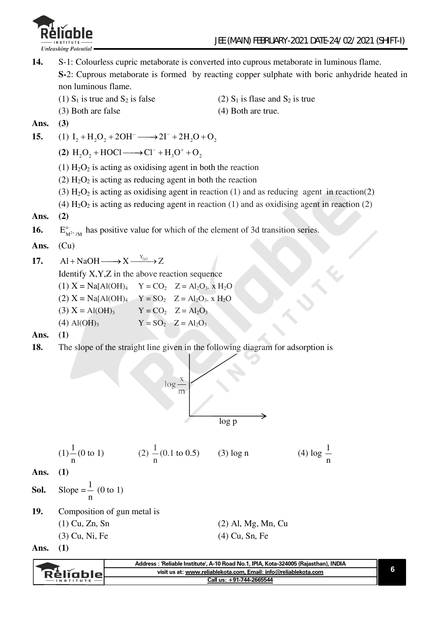

**14.** S-1: Colourless cupric metaborate is converted into cuprous metaborate in luminous flame. **S-**2: Cuprous metaborate is formed by reacting copper sulphate with boric anhydride heated in non luminous flame. (1)  $S_1$  is true and  $S_2$  is false (2)  $S_1$  is flase and  $S_2$  is true (3) Both are false (4) Both are true.

**Ans. (3)** 

**15.** (1) 
$$
I_2 + H_2O_2 + 2OH^- \longrightarrow 2I^- + 2H_2O + O_2
$$

(2)  $H_2O_2 + HOC1 \longrightarrow Cl^- + H_3O^+ + O_2$ 

- (1)  $H_2O_2$  is acting as oxidising agent in both the reaction
- (2)  $H_2O_2$  is acting as reducing agent in both the reaction
- (3)  $H_2O_2$  is acting as oxidising agent in reaction (1) and as reducing agent in reaction (2)
- (4)  $H_2O_2$  is acting as reducing agent in reaction (1) and as oxidising agent in reaction (2)

#### **Ans. (2)**

16.  $E_{\mu^2}^{\circ}$  $E_{M^{2+}/M}^{\circ}$  has positive value for which of the element of 3d transition series.

#### **Ans.** (Cu)

17.  $Al + NaOH \longrightarrow X \xrightarrow{Y_{(g)}} Z$ 

Identify X,Y,Z in the above reaction sequence

(1) 
$$
X = Na[Al(OH)_4
$$
  $Y = CO_2$   $Z = Al_2O_3$ ,  $x H_2O$   
\n(2)  $X = Na[Al(OH)_4$   $Y = SO_2$   $Z = Al_2O_3$ ,  $x H_2O$   
\n(3)  $X = Al(OH)_3$   $Y = CO_2$   $Z = Al_2O_3$   
\n(4)  $Al(OH)_3$   $Y = SO_2$   $Z = Al_2O_3$ 

**Ans. (1)** 

**18.** The slope of the straight line given in the following diagram for adsorption is



(1) 
$$
\frac{1}{n}
$$
 (0 to 1) \t(2)  $\frac{1}{n}$  (0.1 to 0.5) \t(3) log n \t(4) log  $\frac{1}{n}$ 

**Ans. (1)** 

**Sol.** Slope =  $\frac{1}{2}$ n (0 to 1)

**19.** Composition of gun metal is

 $(3)$  Cu, Ni, Fe

(1) Cu, Zn, Sn (2) Al, Mg, Mn, Cu

**Ans. (1)** 

|  |                | . |  |
|--|----------------|---|--|
|  | (4) Cu, Sn, Fe |   |  |

|               | Address: 'Reliable Institute', A-10 Road No.1, IPIA, Kota-324005 (Raiasthan), INDIA |  |
|---------------|-------------------------------------------------------------------------------------|--|
| Réliable      | visit us at: www.reliablekota.com. Email: info@reliablekota.com                     |  |
| $-$ INSTITUTE | Call us: +91-744-2665544                                                            |  |
|               |                                                                                     |  |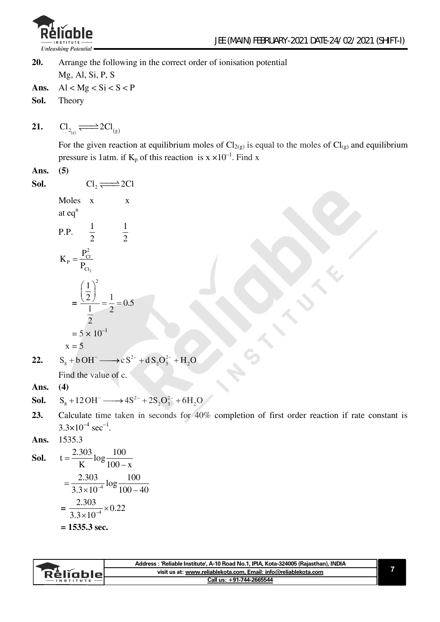

**20.** Arrange the following in the correct order of ionisation potential Mg, Al, Si, P, S Ans.  $Al < Mg < Si < S < P$ **Sol.** Theory

**21.**   $\text{Cl}_{2_{\{g\}}} \longrightarrow 2\text{Cl}_{\{g\}}$ 

> For the given reaction at equilibrium moles of  $Cl_{2(g)}$  is equal to the moles of  $Cl_{(g)}$  and equilibrium pressure is 1atm. if  $K_p$  of this reaction is  $x \times 10^{-1}$ . Find x

#### **Ans. (5)**

**Sol.**  $Cl_2 \rightleftharpoons 2Cl$ Moles x x

at eqn<sup>n</sup>  
\nP.P. 
$$
\frac{1}{2}
$$
  $\frac{1}{2}$   
\n
$$
K_{P} = \frac{P_{Cl}^{2}}{P_{Cl_{2}}}
$$
\n
$$
= \frac{\left(\frac{1}{2}\right)^{2}}{\frac{1}{2}} = \frac{1}{2} = 0.5
$$
\n
$$
= 5 \times 10^{-1}
$$

$$
x = 5
$$

**22.**  $S_8 + bOH^- \longrightarrow cS^{2-} + dS_2O_3^{2-} + H_2O$ 

Find the value of c.

**Ans. (4)** 

**Sol.** 
$$
S_8 + 12 \text{OH}^- \longrightarrow 4\text{S}^{2-} + 2\text{S}_2\text{O}_3^{2-} + 6\text{H}_2\text{O}
$$

**23.** Calculate time taken in seconds for 40% completion of first order reaction if rate constant is  $3.3 \times 10^{-4}$  sec<sup>-1</sup>.

**Ans.** 1535.3

**Sol.** 
$$
t = \frac{2.303}{K} \log \frac{100}{100 - x}
$$

$$
= \frac{2.303}{3.3 \times 10^{-4}} \log \frac{100}{100 - 40}
$$

$$
= \frac{2.303}{3.3 \times 10^{-4}} \times 0.22
$$

$$
= 1535.3 \text{ sec.}
$$

|                 | Address: 'Reliable Institute', A-10 Road No.1, IPIA, Kota-324005 (Rajasthan), INDIA |  |
|-----------------|-------------------------------------------------------------------------------------|--|
| <b>Réliable</b> | visit us at: www.reliablekota.com, Email: info@reliablekota.com                     |  |
|                 | Call us: +91-744-2665544                                                            |  |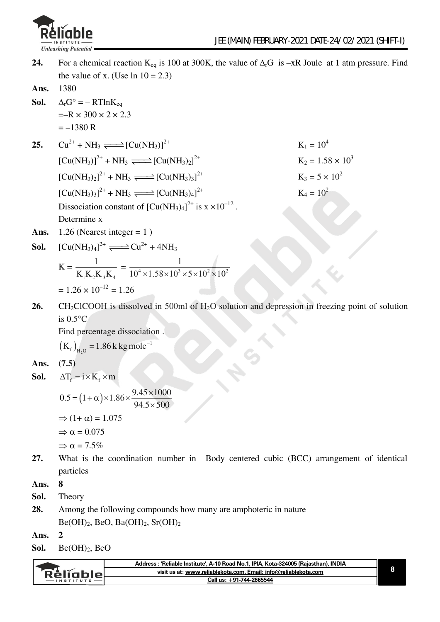

**24.** For a chemical reaction K<sub>eq</sub> is 100 at 300K, the value of  $\Delta_rG$  is –xR Joule at 1 atm pressure. Find the value of x. (Use  $\ln 10 = 2.3$ )

**Ans.** 1380

- **Sol.**  $\Delta_{\rm r}G^{\circ} = R T \ln K_{\rm eq}$  $=-R \times 300 \times 2 \times 2.3$  $=-1380 R$
- **25.**  $Cu^{2+} + NH_3 \rightleftharpoons [Cu(NH_3)]^{2+}$  K<sub>1</sub> = 10<sup>4</sup>  $\left[\text{Cu(NH_3)}\right]^{2+} + \text{NH}_3 \rightleftharpoons \left[\text{Cu(NH_3)}\right]^{2+}$  $[Cu(NH_3)_2]^{2+} + NH_3 \xrightarrow{=} [Cu(NH_3)_3]$  $[Cu(NH_3)_3]^{2+} + NH_3 \xrightarrow{=} [Cu(NH_3)_4]$ Dissociation constant of  $\text{[Cu(NH<sub>3</sub>)<sub>4</sub>]}^{2+}$  is  $x \times 10^{-12}$ .
	- $K_2 = 1.58 \times 10^3$  $K_3 = 5 \times 10^2$  $K_4 = 10^2$
- Ans.  $1.26$  (Nearest integer = 1)

Determine x

**Sol.** 
$$
[Cu(NH_3)_4]^{2+} \longrightarrow Cu^{2+} + 4NH_3
$$

$$
K = \frac{1}{K_1 K_2 K_3 K_4} = \frac{1}{10^4 \times 1.58 \times 10^3 \times 5 \times 10^2 \times 10^2}
$$
  
= 1.26 × 10<sup>-12</sup> = 1.26

26. CH<sub>2</sub>ClCOOH is dissolved in 500ml of H<sub>2</sub>O solution and depression in freezing point of solution is 0.5°C

Find percentage dissociation .

$$
(K_f)_{H_2O} = 1.86
$$
 k kg mole<sup>-1</sup>

**Ans. (7.5)** 

**Sol.** 
$$
\Delta T_f = i \times K_f \times m
$$

$$
0.5 = (1 + \alpha) \times 1.86 \times \frac{9.45 \times 1000}{94.5 \times 500}
$$
  
\n
$$
\Rightarrow (1 + \alpha) = 1.075
$$
  
\n
$$
\Rightarrow \alpha = 0.075
$$
  
\n
$$
\Rightarrow \alpha = 7.5\%
$$
  
\nWhat is the coordination number

**27.** What is the coordination number in Body centered cubic (BCC) arrangement of identical particles

**Ans. 8** 

- **Sol.** Theory
- **28.** Among the following compounds how many are amphoteric in nature  $Be(OH)_2$ , BeO, Ba $(OH)_2$ , Sr $(OH)_2$
- **Ans. 2**

**Sol.** Be(OH)2, BeO

|           | Address: 'Reliable Institute', A-10 Road No.1, IPIA, Kota-324005 (Rajasthan), INDIA |  |
|-----------|-------------------------------------------------------------------------------------|--|
| RèliableL | visit us at: www.reliablekota.com, Email: info@reliablekota.com                     |  |
|           | Call us: +91-744-2665544                                                            |  |